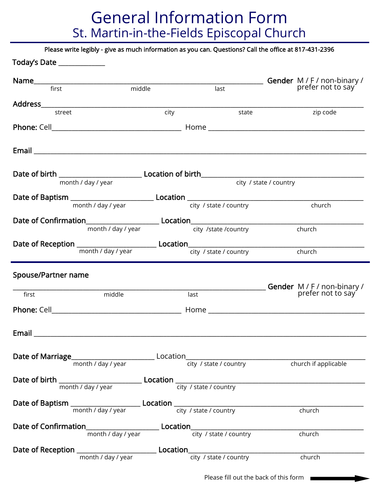## General Information Form St. Martin-in-the-Fields Episcopal Church

Please write legibly - give as much information as you can. Questions? Call the office at 817-431-2396

| Today's Date ______________                                                      |                    |                                                  |                        |                                                                                                                                            |
|----------------------------------------------------------------------------------|--------------------|--------------------------------------------------|------------------------|--------------------------------------------------------------------------------------------------------------------------------------------|
|                                                                                  |                    | Gender M / F / non-binary /<br>prefer not to say |                        |                                                                                                                                            |
|                                                                                  |                    | middle<br>last                                   |                        |                                                                                                                                            |
|                                                                                  |                    |                                                  |                        |                                                                                                                                            |
| street                                                                           |                    | city                                             | state                  | zip code                                                                                                                                   |
|                                                                                  |                    |                                                  |                        |                                                                                                                                            |
|                                                                                  |                    |                                                  |                        |                                                                                                                                            |
|                                                                                  | month / day / year |                                                  |                        | city / state / country                                                                                                                     |
|                                                                                  |                    |                                                  |                        |                                                                                                                                            |
|                                                                                  | month / day / year |                                                  | city / state / country | church                                                                                                                                     |
|                                                                                  |                    |                                                  |                        |                                                                                                                                            |
|                                                                                  | month / day / year |                                                  |                        |                                                                                                                                            |
|                                                                                  |                    |                                                  | city /state /country   | church                                                                                                                                     |
|                                                                                  |                    |                                                  |                        | church                                                                                                                                     |
|                                                                                  |                    |                                                  |                        |                                                                                                                                            |
|                                                                                  |                    |                                                  |                        |                                                                                                                                            |
|                                                                                  |                    |                                                  |                        |                                                                                                                                            |
| Spouse/Partner name                                                              |                    |                                                  |                        |                                                                                                                                            |
| first                                                                            | middle             |                                                  | last                   |                                                                                                                                            |
|                                                                                  |                    |                                                  |                        |                                                                                                                                            |
|                                                                                  |                    |                                                  |                        |                                                                                                                                            |
|                                                                                  |                    |                                                  |                        |                                                                                                                                            |
| Email                                                                            |                    |                                                  |                        |                                                                                                                                            |
|                                                                                  |                    |                                                  |                        |                                                                                                                                            |
|                                                                                  |                    |                                                  |                        |                                                                                                                                            |
|                                                                                  |                    |                                                  |                        |                                                                                                                                            |
|                                                                                  |                    |                                                  |                        | Date of birth $\frac{1}{\text{month } / \text{ day } / \text{ year}}$ Location $\frac{1}{\text{city } / \text{ state } / \text{ country}}$ |
|                                                                                  |                    |                                                  |                        |                                                                                                                                            |
|                                                                                  |                    |                                                  |                        | church                                                                                                                                     |
|                                                                                  |                    |                                                  |                        |                                                                                                                                            |
|                                                                                  |                    |                                                  |                        | $\overline{\overline{\text{church}}}$                                                                                                      |
|                                                                                  |                    |                                                  |                        |                                                                                                                                            |
| Date of Reception ___________________________________Location___________________ |                    |                                                  |                        | church                                                                                                                                     |

Please fill out the back of this form